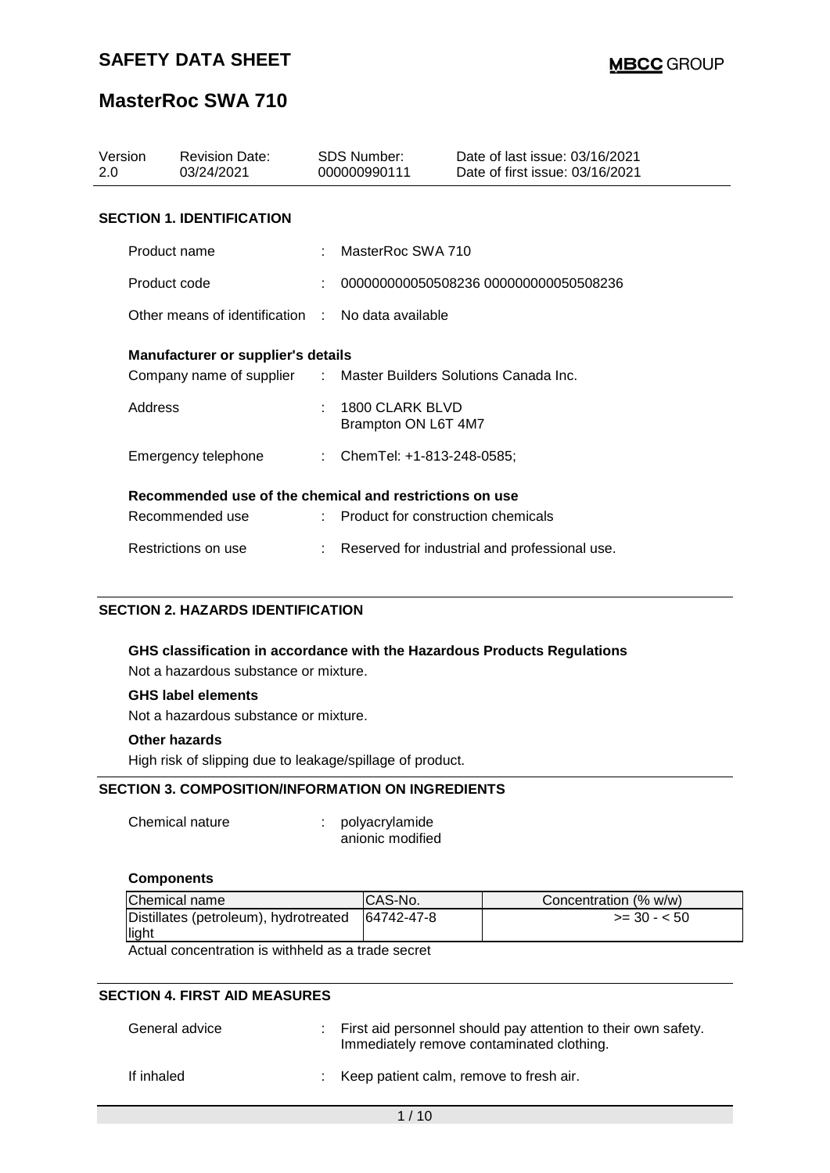# **MasterRoc SWA 710**

| Version<br>2.0                                                   | <b>Revision Date:</b><br>03/24/2021               |  | SDS Number:<br>000000990111            | Date of last issue: 03/16/2021<br>Date of first issue: 03/16/2021 |  |  |  |
|------------------------------------------------------------------|---------------------------------------------------|--|----------------------------------------|-------------------------------------------------------------------|--|--|--|
|                                                                  | <b>SECTION 1. IDENTIFICATION</b>                  |  |                                        |                                                                   |  |  |  |
| Product name                                                     |                                                   |  | MasterRoc SWA 710                      |                                                                   |  |  |  |
| Product code                                                     |                                                   |  |                                        | 000000000050508236 000000000050508236                             |  |  |  |
|                                                                  | Other means of identification : No data available |  |                                        |                                                                   |  |  |  |
| Manufacturer or supplier's details                               |                                                   |  |                                        |                                                                   |  |  |  |
| Company name of supplier : Master Builders Solutions Canada Inc. |                                                   |  |                                        |                                                                   |  |  |  |
| Address                                                          |                                                   |  | 1800 CLARK BLVD<br>Brampton ON L6T 4M7 |                                                                   |  |  |  |
|                                                                  | Emergency telephone                               |  | : ChemTel: +1-813-248-0585;            |                                                                   |  |  |  |
| Recommended use of the chemical and restrictions on use          |                                                   |  |                                        |                                                                   |  |  |  |
|                                                                  | Recommended use                                   |  | : Product for construction chemicals   |                                                                   |  |  |  |
| Restrictions on use                                              |                                                   |  |                                        | Reserved for industrial and professional use.                     |  |  |  |

#### **SECTION 2. HAZARDS IDENTIFICATION**

# **GHS classification in accordance with the Hazardous Products Regulations**

Not a hazardous substance or mixture.

#### **GHS label elements**

Not a hazardous substance or mixture.

#### **Other hazards**

High risk of slipping due to leakage/spillage of product.

### **SECTION 3. COMPOSITION/INFORMATION ON INGREDIENTS**

| Chemical nature | polyacrylamide   |
|-----------------|------------------|
|                 | anionic modified |

# **Components**

| Chemical name                                      | ICAS-No.   | Concentration (% w/w) |  |  |  |  |
|----------------------------------------------------|------------|-----------------------|--|--|--|--|
| Distillates (petroleum), hydrotreated              | 64742-47-8 | $>=$ 30 - $<$ 50      |  |  |  |  |
| light                                              |            |                       |  |  |  |  |
| Actual concentration is withheld as a trade secret |            |                       |  |  |  |  |

Actual concentration is withheld as a trade secret

#### **SECTION 4. FIRST AID MEASURES**

| General advice | : First aid personnel should pay attention to their own safety.<br>Immediately remove contaminated clothing. |
|----------------|--------------------------------------------------------------------------------------------------------------|
| If inhaled     | : Keep patient calm, remove to fresh air.                                                                    |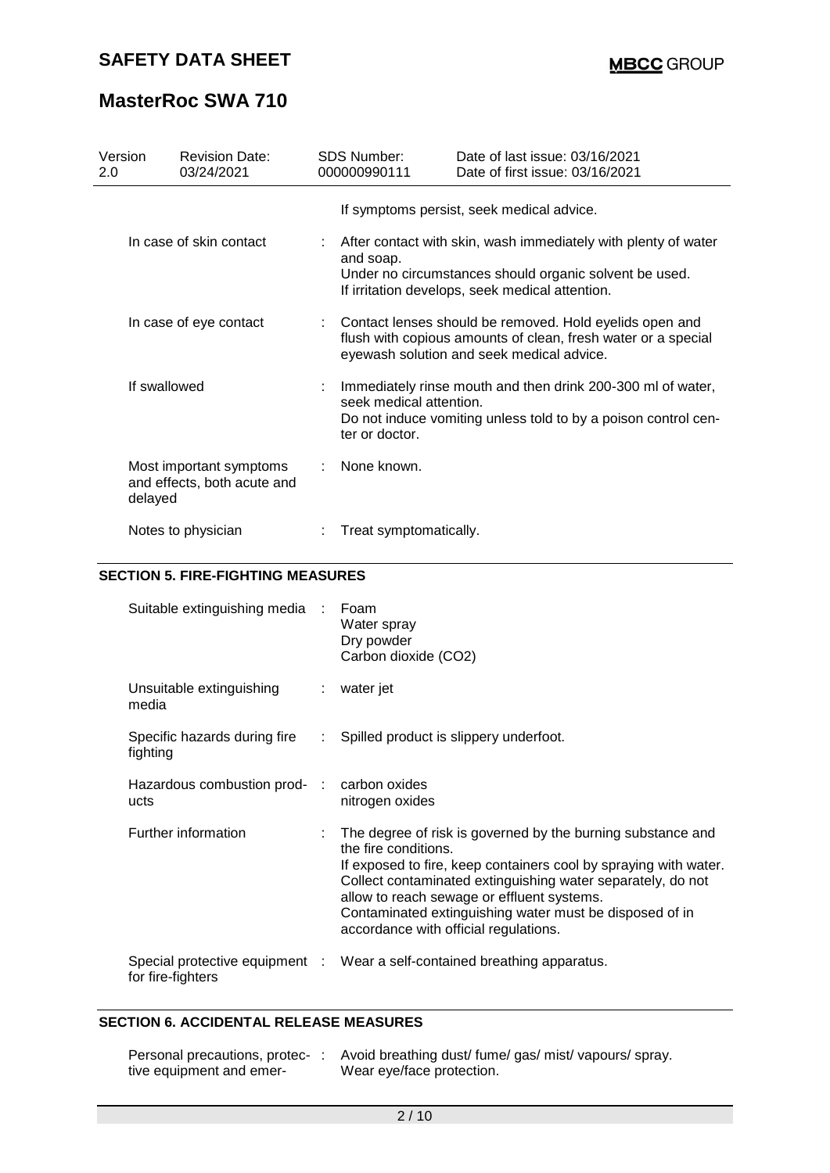# **MasterRoc SWA 710**

| Version<br>2.0         | <b>Revision Date:</b><br>03/24/2021                    | <b>SDS Number:</b><br>000000990111        | Date of last issue: 03/16/2021<br>Date of first issue: 03/16/2021                                                                                                           |
|------------------------|--------------------------------------------------------|-------------------------------------------|-----------------------------------------------------------------------------------------------------------------------------------------------------------------------------|
|                        |                                                        |                                           | If symptoms persist, seek medical advice.                                                                                                                                   |
|                        | In case of skin contact                                | and soap.                                 | After contact with skin, wash immediately with plenty of water<br>Under no circumstances should organic solvent be used.<br>If irritation develops, seek medical attention. |
| In case of eye contact |                                                        |                                           | : Contact lenses should be removed. Hold eyelids open and<br>flush with copious amounts of clean, fresh water or a special<br>eyewash solution and seek medical advice.     |
| If swallowed           |                                                        | seek medical attention.<br>ter or doctor. | Immediately rinse mouth and then drink 200-300 ml of water,<br>Do not induce vomiting unless told to by a poison control cen-                                               |
| delayed                | Most important symptoms<br>and effects, both acute and | None known.                               |                                                                                                                                                                             |
|                        | Notes to physician                                     | Treat symptomatically.                    |                                                                                                                                                                             |

#### **SECTION 5. FIRE-FIGHTING MEASURES**

| Suitable extinguishing media : Foam                | Water spray<br>Dry powder<br>Carbon dioxide (CO2)                                                                                                                                                                                                                                                                                                                          |
|----------------------------------------------------|----------------------------------------------------------------------------------------------------------------------------------------------------------------------------------------------------------------------------------------------------------------------------------------------------------------------------------------------------------------------------|
| Unsuitable extinguishing<br>media                  | : water jet                                                                                                                                                                                                                                                                                                                                                                |
| Specific hazards during fire<br>fighting           | : Spilled product is slippery underfoot.                                                                                                                                                                                                                                                                                                                                   |
| Hazardous combustion prod- : carbon oxides<br>ucts | nitrogen oxides                                                                                                                                                                                                                                                                                                                                                            |
| Further information                                | : The degree of risk is governed by the burning substance and<br>the fire conditions.<br>If exposed to fire, keep containers cool by spraying with water.<br>Collect contaminated extinguishing water separately, do not<br>allow to reach sewage or effluent systems.<br>Contaminated extinguishing water must be disposed of in<br>accordance with official regulations. |
| for fire-fighters                                  | Special protective equipment : Wear a self-contained breathing apparatus.                                                                                                                                                                                                                                                                                                  |

### **SECTION 6. ACCIDENTAL RELEASE MEASURES**

| Personal precautions, protec- | Avoid breathing dust/ fume/ gas/ mist/ vapours/ spray. |
|-------------------------------|--------------------------------------------------------|
| tive equipment and emer-      | Wear eye/face protection.                              |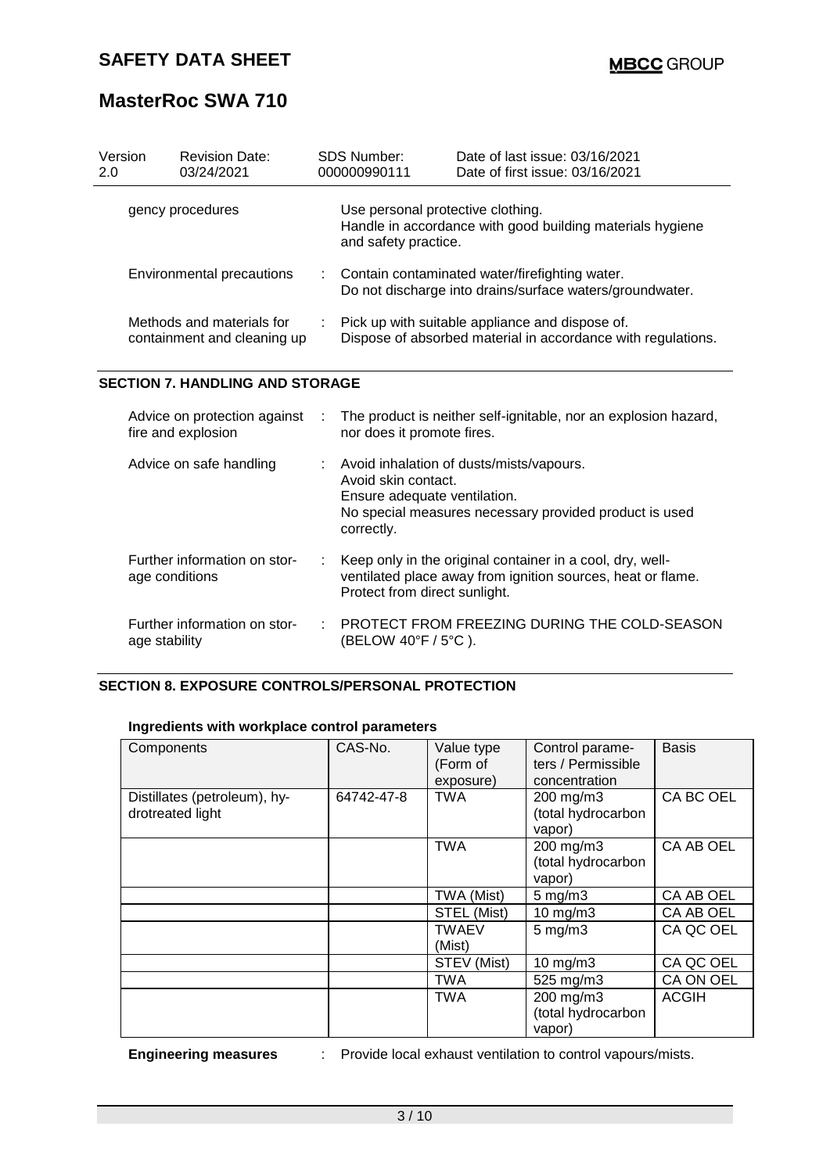# **MasterRoc SWA 710**

| Version<br>2.0          | <b>Revision Date:</b><br>03/24/2021                      |  | <b>SDS Number:</b><br>000000990111                                                                                                                          | Date of last issue: 03/16/2021<br>Date of first issue: 03/16/2021 |  |
|-------------------------|----------------------------------------------------------|--|-------------------------------------------------------------------------------------------------------------------------------------------------------------|-------------------------------------------------------------------|--|
| gency procedures        |                                                          |  | Use personal protective clothing.<br>Handle in accordance with good building materials hygiene<br>and safety practice.                                      |                                                                   |  |
|                         | Environmental precautions                                |  | Contain contaminated water/firefighting water.<br>Do not discharge into drains/surface waters/groundwater.                                                  |                                                                   |  |
|                         | Methods and materials for<br>containment and cleaning up |  | : Pick up with suitable appliance and dispose of.<br>Dispose of absorbed material in accordance with regulations.                                           |                                                                   |  |
|                         | <b>SECTION 7. HANDLING AND STORAGE</b>                   |  |                                                                                                                                                             |                                                                   |  |
|                         | Advice on protection against<br>fire and explosion       |  | The product is neither self-ignitable, nor an explosion hazard,<br>nor does it promote fires.                                                               |                                                                   |  |
| Advice on safe handling |                                                          |  | : Avoid inhalation of dusts/mists/vapours.<br>Avoid skin contact.<br>Ensure adequate ventilation.<br>No special measures necessary provided product is used |                                                                   |  |

| Advice on protection against<br>fire and explosion | : The product is neither self-ignitable, nor an explosion hazard,<br>nor does it promote fires.                                                                           |
|----------------------------------------------------|---------------------------------------------------------------------------------------------------------------------------------------------------------------------------|
| Advice on safe handling                            | : Avoid inhalation of dusts/mists/vapours.<br>Avoid skin contact.<br>Ensure adequate ventilation.<br>No special measures necessary provided product is used<br>correctly. |
| Further information on stor-<br>age conditions     | : Keep only in the original container in a cool, dry, well-<br>ventilated place away from ignition sources, heat or flame.<br>Protect from direct sunlight.               |
| Further information on stor-<br>age stability      | : PROTECT FROM FREEZING DURING THE COLD-SEASON<br>(BELOW 40°F / 5°C ).                                                                                                    |

#### **SECTION 8. EXPOSURE CONTROLS/PERSONAL PROTECTION**

### **Ingredients with workplace control parameters**

| Components                                       | CAS-No.    | Value type<br>(Form of<br>exposure) | Control parame-<br>ters / Permissible<br>concentration | <b>Basis</b> |
|--------------------------------------------------|------------|-------------------------------------|--------------------------------------------------------|--------------|
| Distillates (petroleum), hy-<br>drotreated light | 64742-47-8 | <b>TWA</b>                          | 200 mg/m3<br>(total hydrocarbon<br>vapor)              | CA BC OEL    |
|                                                  |            | <b>TWA</b>                          | 200 mg/m3<br>(total hydrocarbon<br>vapor)              | CA AB OEL    |
|                                                  |            | TWA (Mist)                          | $5 \text{ mg/m}$ 3                                     | CA AB OEL    |
|                                                  |            | STEL (Mist)                         | $10$ mg/m $3$                                          | CA AB OEL    |
|                                                  |            | <b>TWAEV</b><br>(Mist)              | $5$ mg/m $3$                                           | CA QC OEL    |
|                                                  |            | STEV (Mist)                         | 10 mg/m3                                               | CA QC OEL    |
|                                                  |            | TWA                                 | 525 mg/m3                                              | CA ON OEL    |
|                                                  |            | <b>TWA</b>                          | 200 mg/m3<br>(total hydrocarbon<br>vapor)              | <b>ACGIH</b> |

**Engineering measures** : Provide local exhaust ventilation to control vapours/mists.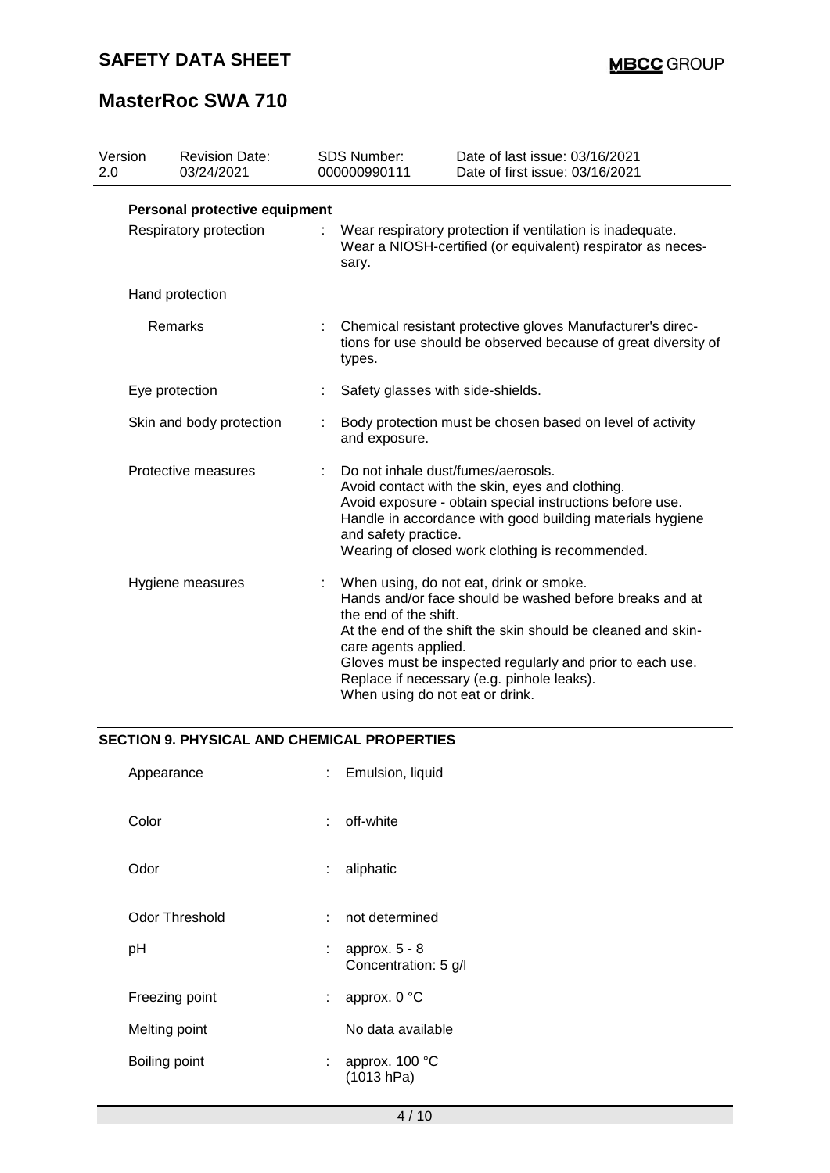# **MasterRoc SWA 710**

| Version<br>2.0         | <b>Revision Date:</b><br>03/24/2021 |  | SDS Number:<br>000000990111                                                                                                                                                                                                                                                               | Date of last issue: 03/16/2021<br>Date of first issue: 03/16/2021                                                                                                                                                                                                                                                |  |  |
|------------------------|-------------------------------------|--|-------------------------------------------------------------------------------------------------------------------------------------------------------------------------------------------------------------------------------------------------------------------------------------------|------------------------------------------------------------------------------------------------------------------------------------------------------------------------------------------------------------------------------------------------------------------------------------------------------------------|--|--|
|                        | Personal protective equipment       |  |                                                                                                                                                                                                                                                                                           |                                                                                                                                                                                                                                                                                                                  |  |  |
| Respiratory protection |                                     |  | Wear respiratory protection if ventilation is inadequate.<br>Wear a NIOSH-certified (or equivalent) respirator as neces-<br>sary.                                                                                                                                                         |                                                                                                                                                                                                                                                                                                                  |  |  |
|                        | Hand protection                     |  |                                                                                                                                                                                                                                                                                           |                                                                                                                                                                                                                                                                                                                  |  |  |
| Remarks                |                                     |  | Chemical resistant protective gloves Manufacturer's direc-<br>tions for use should be observed because of great diversity of<br>types.                                                                                                                                                    |                                                                                                                                                                                                                                                                                                                  |  |  |
|                        | Eye protection                      |  | Safety glasses with side-shields.                                                                                                                                                                                                                                                         |                                                                                                                                                                                                                                                                                                                  |  |  |
|                        | Skin and body protection            |  | Body protection must be chosen based on level of activity<br>and exposure.                                                                                                                                                                                                                |                                                                                                                                                                                                                                                                                                                  |  |  |
| Protective measures    |                                     |  | Do not inhale dust/fumes/aerosols.<br>Avoid contact with the skin, eyes and clothing.<br>Avoid exposure - obtain special instructions before use.<br>Handle in accordance with good building materials hygiene<br>and safety practice.<br>Wearing of closed work clothing is recommended. |                                                                                                                                                                                                                                                                                                                  |  |  |
|                        | Hygiene measures                    |  | the end of the shift.<br>care agents applied.                                                                                                                                                                                                                                             | When using, do not eat, drink or smoke.<br>Hands and/or face should be washed before breaks and at<br>At the end of the shift the skin should be cleaned and skin-<br>Gloves must be inspected regularly and prior to each use.<br>Replace if necessary (e.g. pinhole leaks).<br>When using do not eat or drink. |  |  |

#### **SECTION 9. PHYSICAL AND CHEMICAL PROPERTIES**

| Appearance            |     | : Emulsion, liquid                      |
|-----------------------|-----|-----------------------------------------|
| Color                 |     | : off-white                             |
| Odor                  | t.  | aliphatic                               |
| <b>Odor Threshold</b> | × 1 | not determined                          |
| рH                    |     | approx. $5 - 8$<br>Concentration: 5 g/l |
| Freezing point        | t.  | approx. 0 °C                            |
| Melting point         |     | No data available                       |
| Boiling point         | t.  | approx. 100 °C<br>(1013 hPa)            |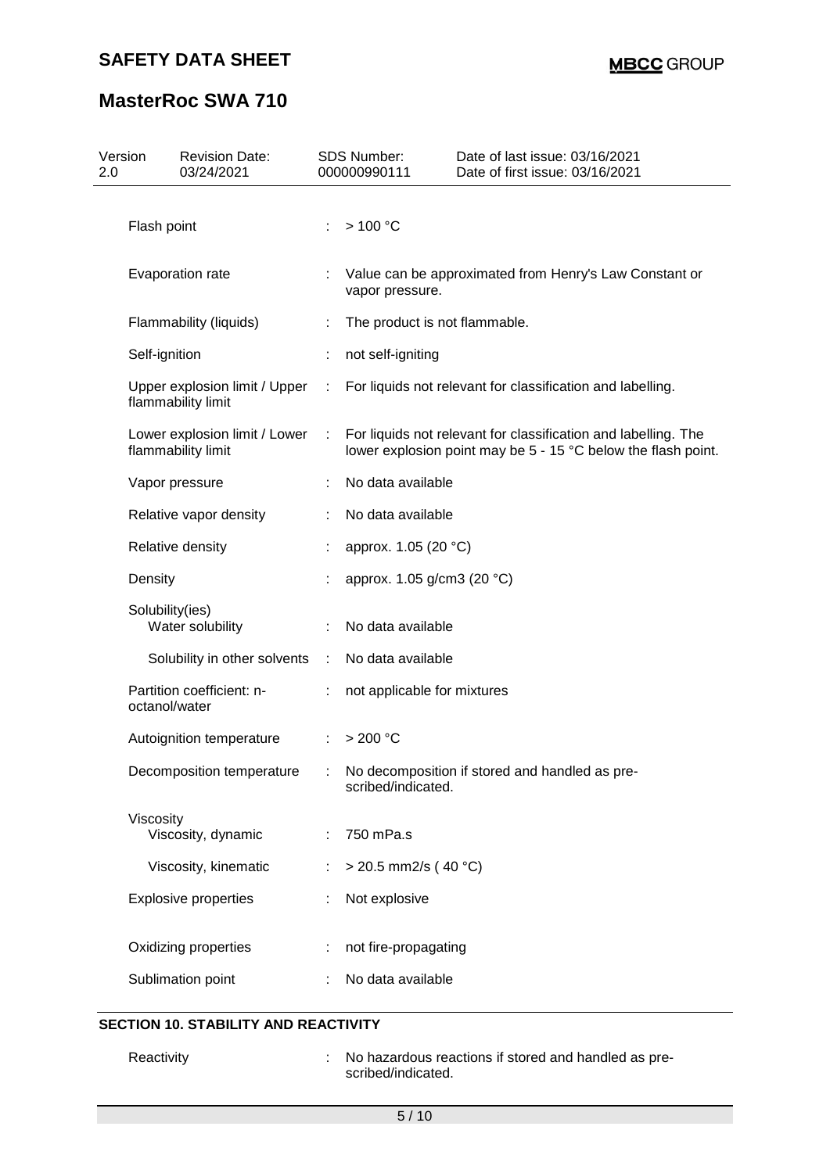# **MasterRoc SWA 710**

| 2.0 | Version                                                            | <b>Revision Date:</b><br>03/24/2021                 |   | <b>SDS Number:</b><br>000000990111 | Date of last issue: 03/16/2021<br>Date of first issue: 03/16/2021                                                               |  |
|-----|--------------------------------------------------------------------|-----------------------------------------------------|---|------------------------------------|---------------------------------------------------------------------------------------------------------------------------------|--|
|     |                                                                    |                                                     |   |                                    |                                                                                                                                 |  |
|     | Flash point                                                        |                                                     |   | >100 °C                            |                                                                                                                                 |  |
|     | Evaporation rate                                                   |                                                     |   | vapor pressure.                    | Value can be approximated from Henry's Law Constant or                                                                          |  |
|     |                                                                    | Flammability (liquids)                              |   | The product is not flammable.      |                                                                                                                                 |  |
|     |                                                                    | Self-ignition                                       |   | not self-igniting                  |                                                                                                                                 |  |
|     | Upper explosion limit / Upper<br>flammability limit                |                                                     | ÷ |                                    | For liquids not relevant for classification and labelling.                                                                      |  |
|     |                                                                    | Lower explosion limit / Lower<br>flammability limit | ÷ |                                    | For liquids not relevant for classification and labelling. The<br>lower explosion point may be 5 - 15 °C below the flash point. |  |
|     |                                                                    | Vapor pressure                                      |   | No data available                  |                                                                                                                                 |  |
|     |                                                                    | Relative vapor density                              |   | No data available                  |                                                                                                                                 |  |
|     | Relative density<br>Density<br>Solubility(ies)<br>Water solubility |                                                     |   | approx. 1.05 (20 °C)               |                                                                                                                                 |  |
|     |                                                                    |                                                     |   | approx. 1.05 g/cm3 (20 °C)         |                                                                                                                                 |  |
|     |                                                                    |                                                     |   | No data available                  |                                                                                                                                 |  |
|     |                                                                    | Solubility in other solvents                        | ÷ | No data available                  |                                                                                                                                 |  |
|     | octanol/water                                                      | Partition coefficient: n-                           | ÷ | not applicable for mixtures        |                                                                                                                                 |  |
|     |                                                                    | Autoignition temperature                            |   | $>200$ °C                          |                                                                                                                                 |  |
|     |                                                                    | Decomposition temperature                           |   | scribed/indicated.                 | : No decomposition if stored and handled as pre-                                                                                |  |
|     | Viscosity                                                          |                                                     |   |                                    |                                                                                                                                 |  |
|     |                                                                    | Viscosity, dynamic                                  |   | 750 mPa.s                          |                                                                                                                                 |  |
|     |                                                                    | Viscosity, kinematic                                |   | $>$ 20.5 mm2/s (40 °C)             |                                                                                                                                 |  |
|     |                                                                    | <b>Explosive properties</b>                         |   | Not explosive                      |                                                                                                                                 |  |
|     |                                                                    | Oxidizing properties                                |   | not fire-propagating               |                                                                                                                                 |  |
|     |                                                                    | Sublimation point                                   |   | No data available                  |                                                                                                                                 |  |

### **SECTION 10. STABILITY AND REACTIVITY**

Reactivity **Example 20** : No hazardous reactions if stored and handled as prescribed/indicated.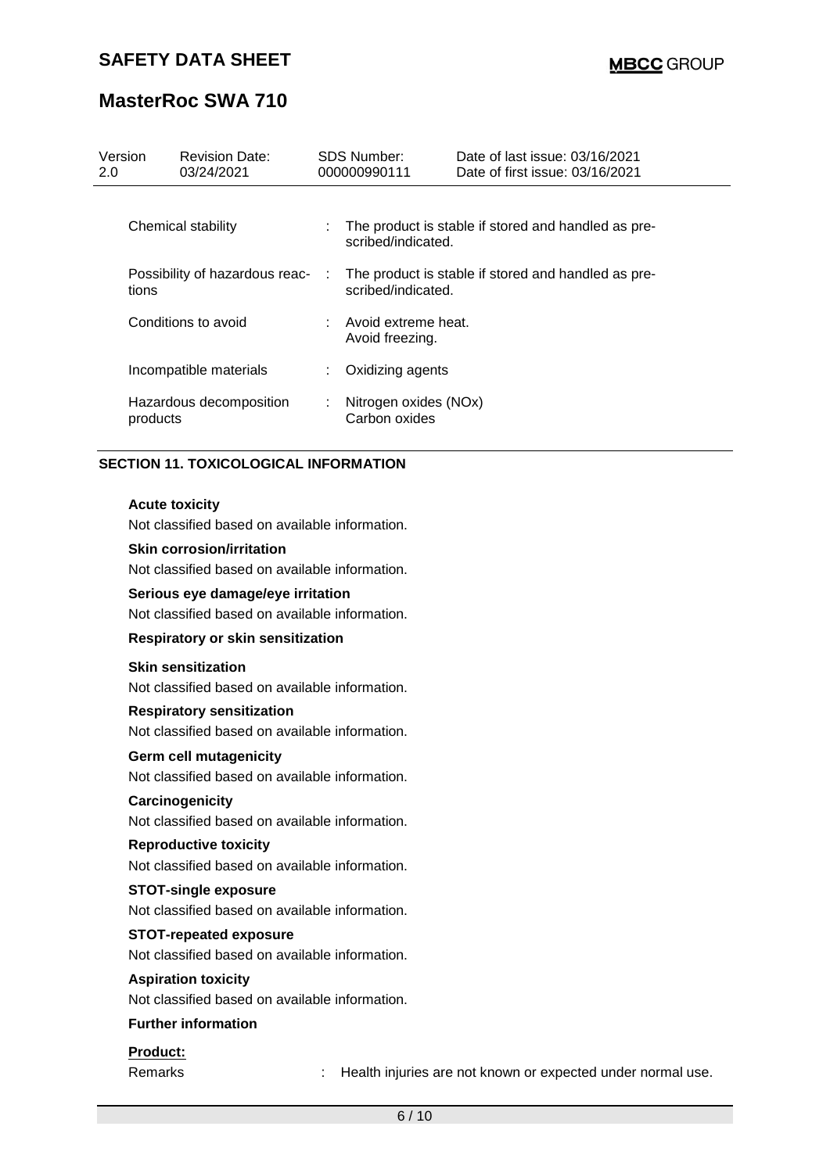# **MasterRoc SWA 710**

| Version<br>2.0 |                                         | <b>Revision Date:</b><br>03/24/2021 |            | <b>SDS Number:</b><br>000000990111                                        | Date of last issue: 03/16/2021<br>Date of first issue: 03/16/2021 |
|----------------|-----------------------------------------|-------------------------------------|------------|---------------------------------------------------------------------------|-------------------------------------------------------------------|
|                |                                         | Chemical stability                  |            | scribed/indicated.                                                        | The product is stable if stored and handled as pre-               |
|                | Possibility of hazardous reac-<br>tions |                                     | $\sim$ 100 | The product is stable if stored and handled as pre-<br>scribed/indicated. |                                                                   |
|                | Conditions to avoid                     |                                     |            | : Avoid extreme heat.<br>Avoid freezing.                                  |                                                                   |
|                |                                         | Incompatible materials              | ÷.         | Oxidizing agents                                                          |                                                                   |
|                | products                                | Hazardous decomposition             | ÷          | Nitrogen oxides (NOx)<br>Carbon oxides                                    |                                                                   |

#### **SECTION 11. TOXICOLOGICAL INFORMATION**

#### **Acute toxicity**

Not classified based on available information.

#### **Skin corrosion/irritation**

Not classified based on available information.

#### **Serious eye damage/eye irritation**

Not classified based on available information.

### **Respiratory or skin sensitization**

#### **Skin sensitization**

Not classified based on available information.

#### **Respiratory sensitization**

Not classified based on available information.

#### **Germ cell mutagenicity**

Not classified based on available information.

#### **Carcinogenicity**

Not classified based on available information.

#### **Reproductive toxicity**

Not classified based on available information.

#### **STOT-single exposure**

Not classified based on available information.

#### **STOT-repeated exposure**

Not classified based on available information.

#### **Aspiration toxicity**

Not classified based on available information.

#### **Further information**

#### **Product:**

Remarks : Health injuries are not known or expected under normal use.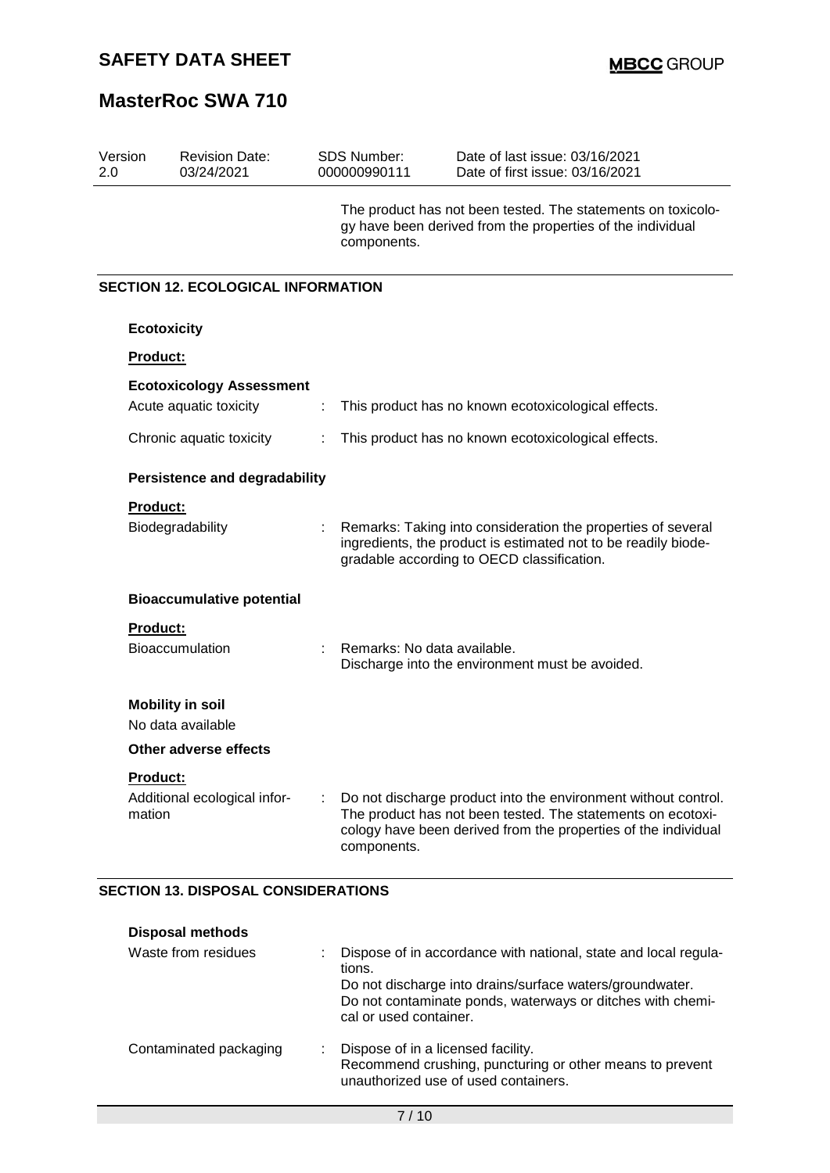# **MasterRoc SWA 710**

| Version<br>2.0                            | <b>Revision Date:</b><br>03/24/2021 |   | <b>SDS Number:</b><br>000000990111 | Date of last issue: 03/16/2021<br>Date of first issue: 03/16/2021                                                                                                                               |  |  |  |
|-------------------------------------------|-------------------------------------|---|------------------------------------|-------------------------------------------------------------------------------------------------------------------------------------------------------------------------------------------------|--|--|--|
|                                           |                                     |   | components.                        | The product has not been tested. The statements on toxicolo-<br>gy have been derived from the properties of the individual                                                                      |  |  |  |
| <b>SECTION 12. ECOLOGICAL INFORMATION</b> |                                     |   |                                    |                                                                                                                                                                                                 |  |  |  |
|                                           | <b>Ecotoxicity</b>                  |   |                                    |                                                                                                                                                                                                 |  |  |  |
| <b>Product:</b>                           |                                     |   |                                    |                                                                                                                                                                                                 |  |  |  |
|                                           | <b>Ecotoxicology Assessment</b>     |   |                                    |                                                                                                                                                                                                 |  |  |  |
|                                           | Acute aquatic toxicity              | ÷ |                                    | This product has no known ecotoxicological effects.                                                                                                                                             |  |  |  |
|                                           | Chronic aquatic toxicity            | ÷ |                                    | This product has no known ecotoxicological effects.                                                                                                                                             |  |  |  |
| <b>Persistence and degradability</b>      |                                     |   |                                    |                                                                                                                                                                                                 |  |  |  |
| <b>Product:</b>                           |                                     |   |                                    |                                                                                                                                                                                                 |  |  |  |
|                                           | Biodegradability                    |   |                                    | Remarks: Taking into consideration the properties of several<br>ingredients, the product is estimated not to be readily biode-<br>gradable according to OECD classification.                    |  |  |  |
|                                           | <b>Bioaccumulative potential</b>    |   |                                    |                                                                                                                                                                                                 |  |  |  |
| <b>Product:</b>                           |                                     |   |                                    |                                                                                                                                                                                                 |  |  |  |
|                                           | <b>Bioaccumulation</b>              |   | Remarks: No data available.        | Discharge into the environment must be avoided.                                                                                                                                                 |  |  |  |
|                                           | <b>Mobility in soil</b>             |   |                                    |                                                                                                                                                                                                 |  |  |  |
|                                           | No data available                   |   |                                    |                                                                                                                                                                                                 |  |  |  |
|                                           | <b>Other adverse effects</b>        |   |                                    |                                                                                                                                                                                                 |  |  |  |
| Product:<br>mation                        | Additional ecological infor-        |   | components.                        | Do not discharge product into the environment without control.<br>The product has not been tested. The statements on ecotoxi-<br>cology have been derived from the properties of the individual |  |  |  |

#### **SECTION 13. DISPOSAL CONSIDERATIONS**

| <b>Disposal methods</b> |                                                                                                                                                                                                                               |
|-------------------------|-------------------------------------------------------------------------------------------------------------------------------------------------------------------------------------------------------------------------------|
| Waste from residues     | Dispose of in accordance with national, state and local regula-<br>tions.<br>Do not discharge into drains/surface waters/groundwater.<br>Do not contaminate ponds, waterways or ditches with chemi-<br>cal or used container. |
| Contaminated packaging  | Dispose of in a licensed facility.<br>Recommend crushing, puncturing or other means to prevent<br>unauthorized use of used containers.                                                                                        |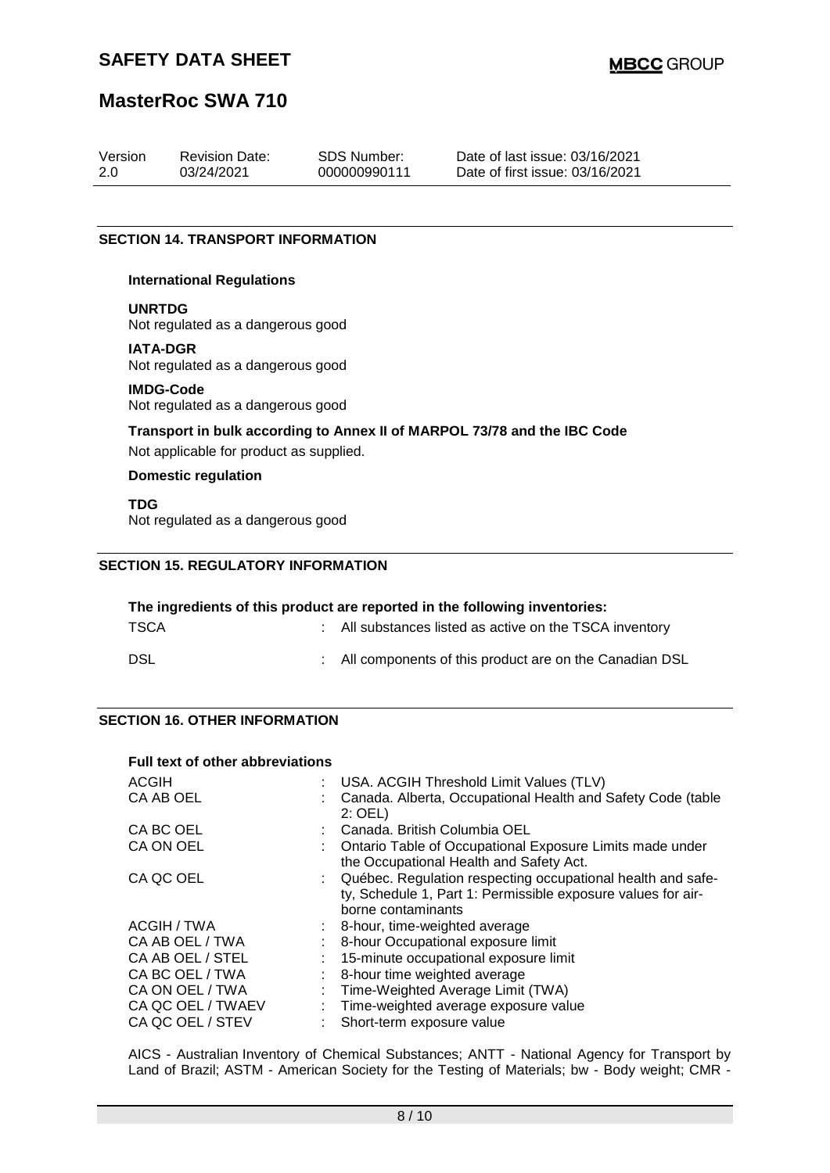# **MasterRoc SWA 710**

| Version | <b>Revision Date:</b> | SDS Number:  | Date of last issue: 03/16/2021  |
|---------|-----------------------|--------------|---------------------------------|
| 2.0     | 03/24/2021            | 000000990111 | Date of first issue: 03/16/2021 |
|         |                       |              |                                 |

#### **SECTION 14. TRANSPORT INFORMATION**

#### **International Regulations**

#### **UNRTDG**

Not regulated as a dangerous good

#### **IATA-DGR**

Not regulated as a dangerous good

#### **IMDG-Code**

Not regulated as a dangerous good

### **Transport in bulk according to Annex II of MARPOL 73/78 and the IBC Code**

Not applicable for product as supplied.

#### **Domestic regulation**

**TDG**

Not regulated as a dangerous good

#### **SECTION 15. REGULATORY INFORMATION**

| The ingredients of this product are reported in the following inventories: |  |                                                          |  |  |
|----------------------------------------------------------------------------|--|----------------------------------------------------------|--|--|
| <b>TSCA</b>                                                                |  | : All substances listed as active on the TSCA inventory  |  |  |
| DSL                                                                        |  | : All components of this product are on the Canadian DSL |  |  |

#### **SECTION 16. OTHER INFORMATION**

| <b>Full text of other abbreviations</b> |                                                                                                                                                   |
|-----------------------------------------|---------------------------------------------------------------------------------------------------------------------------------------------------|
| ACGIH                                   | USA. ACGIH Threshold Limit Values (TLV)                                                                                                           |
| CA AB OEL                               | Canada. Alberta, Occupational Health and Safety Code (table<br>$2:$ OEL)                                                                          |
| CA BC OEL                               | Canada, British Columbia OEL                                                                                                                      |
| CA ON OEL                               | Ontario Table of Occupational Exposure Limits made under<br>the Occupational Health and Safety Act.                                               |
| CA QC OEL                               | Québec. Regulation respecting occupational health and safe-<br>ty, Schedule 1, Part 1: Permissible exposure values for air-<br>borne contaminants |
| ACGIH / TWA                             | $\therefore$ 8-hour, time-weighted average                                                                                                        |
| CA AB OEL / TWA                         | 8-hour Occupational exposure limit                                                                                                                |
| CA AB OEL / STEL                        | 15-minute occupational exposure limit                                                                                                             |
| CA BC OEL / TWA                         | 8-hour time weighted average                                                                                                                      |
| CA ON OEL / TWA                         | Time-Weighted Average Limit (TWA)                                                                                                                 |
| CA QC OEL / TWAEV                       | Time-weighted average exposure value                                                                                                              |
| CA QC OEL / STEV                        | Short-term exposure value                                                                                                                         |

AICS - Australian Inventory of Chemical Substances; ANTT - National Agency for Transport by Land of Brazil; ASTM - American Society for the Testing of Materials; bw - Body weight; CMR -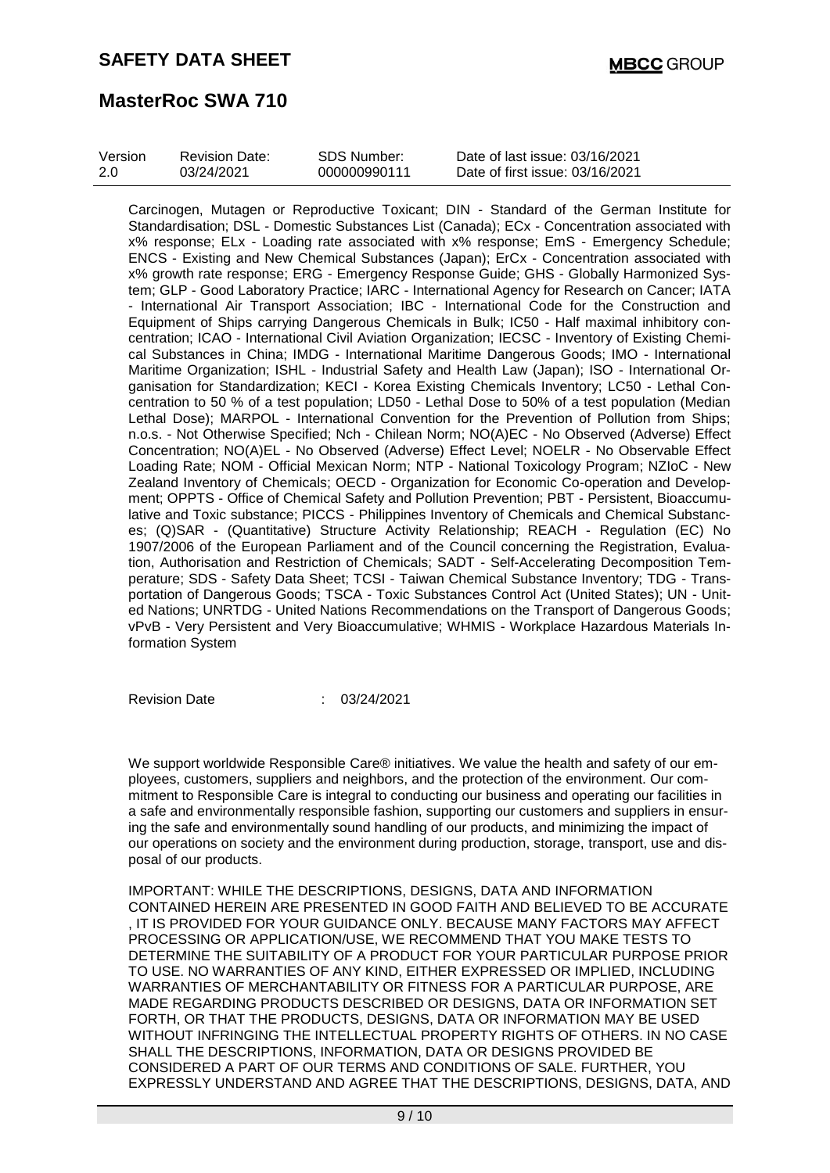# **MasterRoc SWA 710**

| Version | <b>Revision Date:</b> | SDS Number:  | Date of last issue: 03/16/2021  |
|---------|-----------------------|--------------|---------------------------------|
| 2.0     | 03/24/2021            | 000000990111 | Date of first issue: 03/16/2021 |

Carcinogen, Mutagen or Reproductive Toxicant; DIN - Standard of the German Institute for Standardisation; DSL - Domestic Substances List (Canada); ECx - Concentration associated with x% response; ELx - Loading rate associated with x% response; EmS - Emergency Schedule; ENCS - Existing and New Chemical Substances (Japan); ErCx - Concentration associated with x% growth rate response; ERG - Emergency Response Guide; GHS - Globally Harmonized System; GLP - Good Laboratory Practice; IARC - International Agency for Research on Cancer; IATA - International Air Transport Association; IBC - International Code for the Construction and Equipment of Ships carrying Dangerous Chemicals in Bulk; IC50 - Half maximal inhibitory concentration; ICAO - International Civil Aviation Organization; IECSC - Inventory of Existing Chemical Substances in China; IMDG - International Maritime Dangerous Goods; IMO - International Maritime Organization; ISHL - Industrial Safety and Health Law (Japan); ISO - International Organisation for Standardization; KECI - Korea Existing Chemicals Inventory; LC50 - Lethal Concentration to 50 % of a test population; LD50 - Lethal Dose to 50% of a test population (Median Lethal Dose); MARPOL - International Convention for the Prevention of Pollution from Ships; n.o.s. - Not Otherwise Specified; Nch - Chilean Norm; NO(A)EC - No Observed (Adverse) Effect Concentration; NO(A)EL - No Observed (Adverse) Effect Level; NOELR - No Observable Effect Loading Rate; NOM - Official Mexican Norm; NTP - National Toxicology Program; NZIoC - New Zealand Inventory of Chemicals; OECD - Organization for Economic Co-operation and Development; OPPTS - Office of Chemical Safety and Pollution Prevention; PBT - Persistent, Bioaccumulative and Toxic substance; PICCS - Philippines Inventory of Chemicals and Chemical Substances; (Q)SAR - (Quantitative) Structure Activity Relationship; REACH - Regulation (EC) No 1907/2006 of the European Parliament and of the Council concerning the Registration, Evaluation, Authorisation and Restriction of Chemicals; SADT - Self-Accelerating Decomposition Temperature; SDS - Safety Data Sheet; TCSI - Taiwan Chemical Substance Inventory; TDG - Transportation of Dangerous Goods; TSCA - Toxic Substances Control Act (United States); UN - United Nations; UNRTDG - United Nations Recommendations on the Transport of Dangerous Goods; vPvB - Very Persistent and Very Bioaccumulative; WHMIS - Workplace Hazardous Materials Information System

Revision Date : 03/24/2021

We support worldwide Responsible Care® initiatives. We value the health and safety of our employees, customers, suppliers and neighbors, and the protection of the environment. Our commitment to Responsible Care is integral to conducting our business and operating our facilities in a safe and environmentally responsible fashion, supporting our customers and suppliers in ensuring the safe and environmentally sound handling of our products, and minimizing the impact of our operations on society and the environment during production, storage, transport, use and disposal of our products.

IMPORTANT: WHILE THE DESCRIPTIONS, DESIGNS, DATA AND INFORMATION CONTAINED HEREIN ARE PRESENTED IN GOOD FAITH AND BELIEVED TO BE ACCURATE , IT IS PROVIDED FOR YOUR GUIDANCE ONLY. BECAUSE MANY FACTORS MAY AFFECT PROCESSING OR APPLICATION/USE, WE RECOMMEND THAT YOU MAKE TESTS TO DETERMINE THE SUITABILITY OF A PRODUCT FOR YOUR PARTICULAR PURPOSE PRIOR TO USE. NO WARRANTIES OF ANY KIND, EITHER EXPRESSED OR IMPLIED, INCLUDING WARRANTIES OF MERCHANTABILITY OR FITNESS FOR A PARTICULAR PURPOSE, ARE MADE REGARDING PRODUCTS DESCRIBED OR DESIGNS, DATA OR INFORMATION SET FORTH, OR THAT THE PRODUCTS, DESIGNS, DATA OR INFORMATION MAY BE USED WITHOUT INFRINGING THE INTELLECTUAL PROPERTY RIGHTS OF OTHERS. IN NO CASE SHALL THE DESCRIPTIONS, INFORMATION, DATA OR DESIGNS PROVIDED BE CONSIDERED A PART OF OUR TERMS AND CONDITIONS OF SALE. FURTHER, YOU EXPRESSLY UNDERSTAND AND AGREE THAT THE DESCRIPTIONS, DESIGNS, DATA, AND